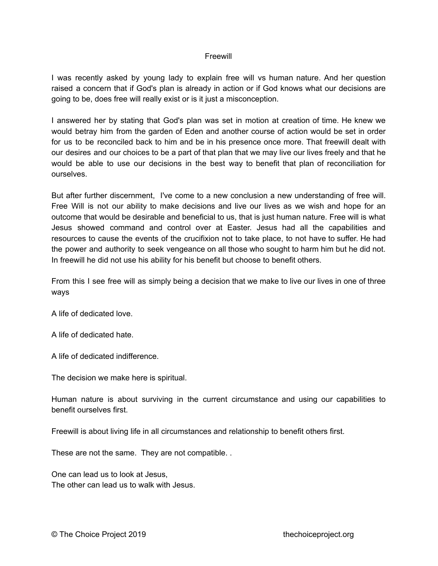## Freewill

I was recently asked by young lady to explain free will vs human nature. And her question raised a concern that if God's plan is already in action or if God knows what our decisions are going to be, does free will really exist or is it just a misconception.

I answered her by stating that God's plan was set in motion at creation of time. He knew we would betray him from the garden of Eden and another course of action would be set in order for us to be reconciled back to him and be in his presence once more. That freewill dealt with our desires and our choices to be a part of that plan that we may live our lives freely and that he would be able to use our decisions in the best way to benefit that plan of reconciliation for ourselves.

But after further discernment, I've come to a new conclusion a new understanding of free will. Free Will is not our ability to make decisions and live our lives as we wish and hope for an outcome that would be desirable and beneficial to us, that is just human nature. Free will is what Jesus showed command and control over at Easter. Jesus had all the capabilities and resources to cause the events of the crucifixion not to take place, to not have to suffer. He had the power and authority to seek vengeance on all those who sought to harm him but he did not. In freewill he did not use his ability for his benefit but choose to benefit others.

From this I see free will as simply being a decision that we make to live our lives in one of three ways

A life of dedicated love.

A life of dedicated hate.

A life of dedicated indifference.

The decision we make here is spiritual.

Human nature is about surviving in the current circumstance and using our capabilities to benefit ourselves first.

Freewill is about living life in all circumstances and relationship to benefit others first.

These are not the same. They are not compatible. .

One can lead us to look at Jesus, The other can lead us to walk with Jesus.